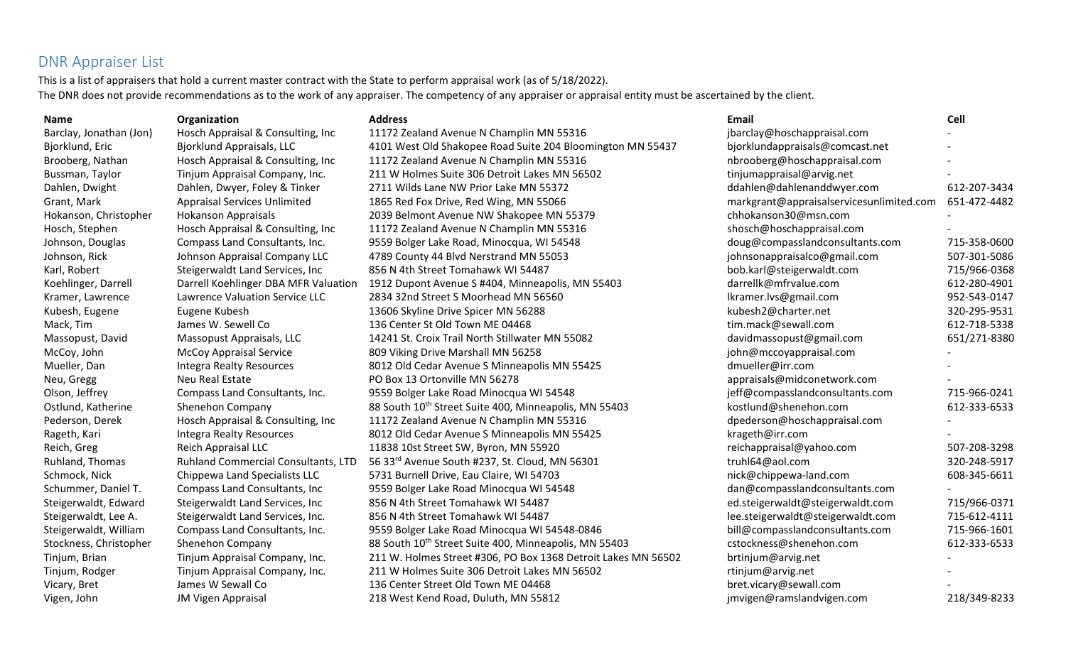## DNR Appraiser List

This is a list of appraisers that hold a current master contract with the State to perform appraisal work (as of 5/18/2022). The DNR does not provide recommendations as to the work of any appraiser. The competency of any appraiser or appraisal entity must be ascertained by the client.

| <b>Name</b>             | Organization                         | <b>Address</b>                                                    | Email                                    | Cell         |
|-------------------------|--------------------------------------|-------------------------------------------------------------------|------------------------------------------|--------------|
| Barclay, Jonathan (Jon) | Hosch Appraisal & Consulting, Inc    | 11172 Zealand Avenue N Champlin MN 55316                          | jbarclay@hoschappraisal.com              |              |
| Bjorklund, Eric         | <b>Bjorklund Appraisals, LLC</b>     | 4101 West Old Shakopee Road Suite 204 Bloomington MN 55437        | bjorklundappraisals@comcast.net          |              |
| Brooberg, Nathan        | Hosch Appraisal & Consulting, Inc    | 11172 Zealand Avenue N Champlin MN 55316                          | nbrooberg@hoschappraisal.com             |              |
| Bussman, Taylor         | Tinjum Appraisal Company, Inc.       | 211 W Holmes Suite 306 Detroit Lakes MN 56502                     | tinjumappraisal@arvig.net                |              |
| Dahlen, Dwight          | Dahlen, Dwyer, Foley & Tinker        | 2711 Wilds Lane NW Prior Lake MN 55372                            | ddahlen@dahlenanddwyer.com               | 612-207-3434 |
| Grant, Mark             | <b>Appraisal Services Unlimited</b>  | 1865 Red Fox Drive, Red Wing, MN 55066                            | markgrant@appraisalservicesunlimited.com | 651-472-4482 |
| Hokanson, Christopher   | <b>Hokanson Appraisals</b>           | 2039 Belmont Avenue NW Shakopee MN 55379                          | chhokanson30@msn.com                     |              |
| Hosch, Stephen          | Hosch Appraisal & Consulting, Inc    | 11172 Zealand Avenue N Champlin MN 55316                          | shosch@hoschappraisal.com                |              |
| Johnson, Douglas        | Compass Land Consultants, Inc.       | 9559 Bolger Lake Road, Minocqua, WI 54548                         | doug@compasslandconsultants.com          | 715-358-0600 |
| Johnson, Rick           | Johnson Appraisal Company LLC        | 4789 County 44 Blvd Nerstrand MN 55053                            | johnsonappraisalco@gmail.com             | 507-301-5086 |
| Karl, Robert            | Steigerwaldt Land Services, Inc.     | 856 N 4th Street Tomahawk WI 54487                                | bob.karl@steigerwaldt.com                | 715/966-0368 |
| Koehlinger, Darrell     | Darrell Koehlinger DBA MFR Valuation | 1912 Dupont Avenue S #404, Minneapolis, MN 55403                  | darrellk@mfrvalue.com                    | 612-280-4901 |
| Kramer, Lawrence        | Lawrence Valuation Service LLC       | 2834 32nd Street S Moorhead MN 56560                              | lkramer.lvs@gmail.com                    | 952-543-0147 |
| Kubesh, Eugene          | Eugene Kubesh                        | 13606 Skyline Drive Spicer MN 56288                               | kubesh2@charter.net                      | 320-295-9531 |
| Mack, Tim               | James W. Sewell Co                   | 136 Center St Old Town ME 04468                                   | tim.mack@sewall.com                      | 612-718-5338 |
| Massopust, David        | Massopust Appraisals, LLC            | 14241 St. Croix Trail North Stillwater MN 55082                   | davidmassopust@gmail.com                 | 651/271-8380 |
| McCoy, John             | <b>McCoy Appraisal Service</b>       | 809 Viking Drive Marshall MN 56258                                | john@mccoyappraisal.com                  |              |
| Mueller, Dan            | <b>Integra Realty Resources</b>      | 8012 Old Cedar Avenue S Minneapolis MN 55425                      | dmueller@irr.com                         |              |
| Neu, Gregg              | Neu Real Estate                      | PO Box 13 Ortonville MN 56278                                     | appraisals@midconetwork.com              |              |
| Olson, Jeffrey          | Compass Land Consultants, Inc.       | 9559 Bolger Lake Road Minocqua WI 54548                           | jeff@compasslandconsultants.com          | 715-966-0241 |
| Ostlund, Katherine      | Shenehon Company                     | 88 South 10 <sup>th</sup> Street Suite 400, Minneapolis, MN 55403 | kostlund@shenehon.com                    | 612-333-6533 |
| Pederson, Derek         | Hosch Appraisal & Consulting, Inc    | 11172 Zealand Avenue N Champlin MN 55316                          | dpederson@hoschappraisal.com             |              |
| Rageth, Kari            | <b>Integra Realty Resources</b>      | 8012 Old Cedar Avenue S Minneapolis MN 55425                      | krageth@irr.com                          |              |
| Reich, Greg             | Reich Appraisal LLC                  | 11838 10st Street SW, Byron, MN 55920                             | reichappraisal@yahoo.com                 | 507-208-3298 |
| Ruhland, Thomas         | Ruhland Commercial Consultants, LTD  | 56 33rd Avenue South #237, St. Cloud, MN 56301                    | truhl64@aol.com                          | 320-248-5917 |
| Schmock, Nick           | Chippewa Land Specialists LLC        | 5731 Burnell Drive, Eau Claire, WI 54703                          | nick@chippewa-land.com                   | 608-345-6611 |
| Schummer, Daniel T.     | Compass Land Consultants, Inc.       | 9559 Bolger Lake Road Minocqua WI 54548                           | dan@compasslandconsultants.com           |              |
| Steigerwaldt, Edward    | Steigerwaldt Land Services, Inc      | 856 N 4th Street Tomahawk WI 54487                                | ed.steigerwaldt@steigerwaldt.com         | 715/966-0371 |
| Steigerwaldt, Lee A.    | Steigerwaldt Land Services, Inc.     | 856 N 4th Street Tomahawk WI 54487                                | lee.steigerwaldt@steigerwaldt.com        | 715-612-4111 |
| Steigerwaldt, William   | Compass Land Consultants, Inc.       | 9559 Bolger Lake Road Minocqua WI 54548-0846                      | bill@compasslandconsultants.com          | 715-966-1601 |
| Stockness, Christopher  | Shenehon Company                     | 88 South 10 <sup>th</sup> Street Suite 400, Minneapolis, MN 55403 | cstockness@shenehon.com                  | 612-333-6533 |
| Tinjum, Brian           | Tinjum Appraisal Company, Inc.       | 211 W. Holmes Street #306, PO Box 1368 Detroit Lakes MN 56502     | brtinjum@arvig.net                       |              |
| Tinjum, Rodger          | Tinjum Appraisal Company, Inc.       | 211 W Holmes Suite 306 Detroit Lakes MN 56502                     | rtinjum@arvig.net                        |              |
| Vicary, Bret            | James W Sewall Co                    | 136 Center Street Old Town ME 04468                               | bret.vicary@sewall.com                   |              |
| Vigen, John             | <b>JM Vigen Appraisal</b>            | 218 West Kend Road, Duluth, MN 55812                              | jmvigen@ramslandvigen.com                | 218/349-8233 |